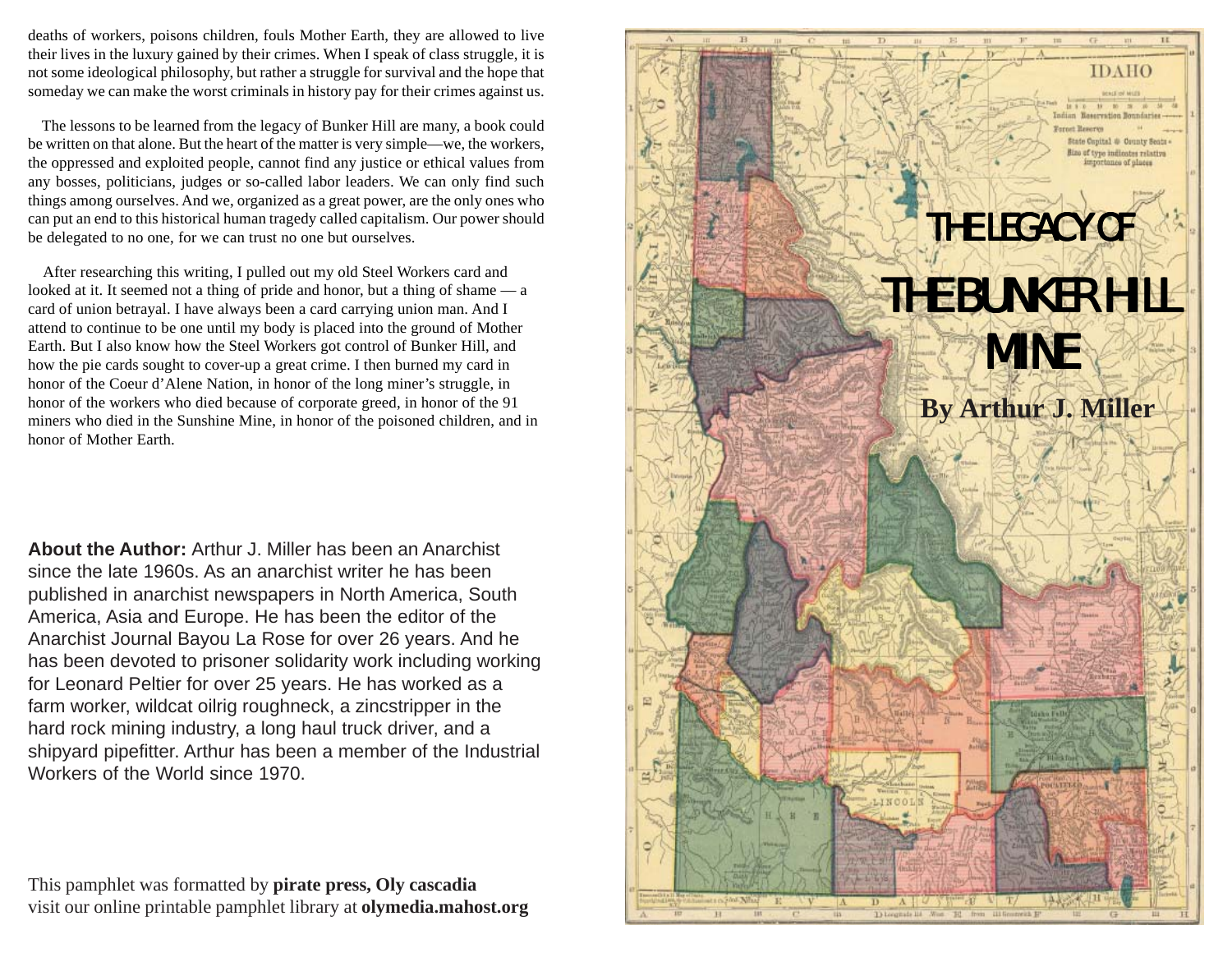deaths of workers, poisons children, fouls Mother Earth, they are allowed to live their lives in the luxury gained by their crimes. When I speak of class struggle, it is not some ideological philosophy, but rather a struggle for survival and the hope that someday we can make the worst criminals in history pay for their crimes against us.

 The lessons to be learned from the legacy of Bunker Hill are many, a book could be written on that alone. But the heart of the matter is very simple—we, the workers, the oppressed and exploited people, cannot find any justice or ethical values from any bosses, politicians, judges or so-called labor leaders. We can only find such things among ourselves. And we, organized as a great power, are the only ones who can put an end to this historical human tragedy called capitalism. Our power should be delegated to no one, for we can trust no one but ourselves.

 After researching this writing, I pulled out my old Steel Workers card and looked at it. It seemed not a thing of pride and honor, but a thing of shame — a card of union betrayal. I have always been a card carrying union man. And I attend to continue to be one until my body is placed into the ground of Mother Earth. But I also know how the Steel Workers got control of Bunker Hill, and how the pie cards sought to cover-up a great crime. I then burned my card in honor of the Coeur d'Alene Nation, in honor of the long miner's struggle, in honor of the workers who died because of corporate greed, in honor of the 91 miners who died in the Sunshine Mine, in honor of the poisoned children, and in honor of Mother Earth.

**About the Author:** Arthur J. Miller has been an Anarchist since the late 1960s. As an anarchist writer he has been published in anarchist newspapers in North America, South America, Asia and Europe. He has been the editor of the Anarchist Journal Bayou La Rose for over 26 years. And he has been devoted to prisoner solidarity work including working for Leonard Peltier for over 25 years. He has worked as a farm worker, wildcat oilrig roughneck, a zincstripper in the hard rock mining industry, a long haul truck driver, and a shipyard pipefitter. Arthur has been a member of the Industrial Workers of the World since 1970.

This pamphlet was formatted by **pirate press, Oly cascadia** visit our online printable pamphlet library at **olymedia.mahost.org**

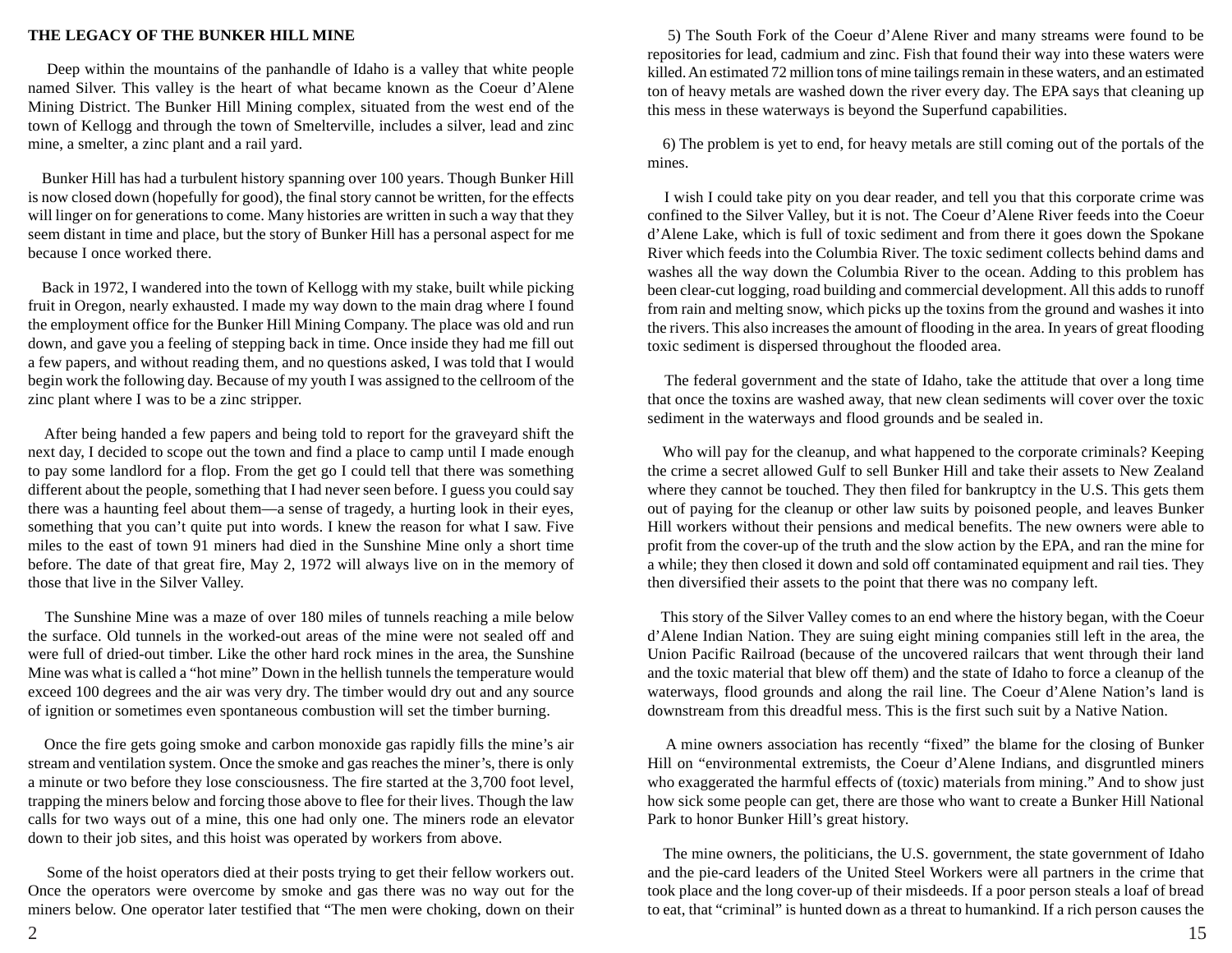## **THE LEGACY OF THE BUNKER HILL MINE**

 Deep within the mountains of the panhandle of Idaho is a valley that white people named Silver. This valley is the heart of what became known as the Coeur d'Alene Mining District. The Bunker Hill Mining complex, situated from the west end of the town of Kellogg and through the town of Smelterville, includes a silver, lead and zinc mine, a smelter, a zinc plant and a rail yard.

 Bunker Hill has had a turbulent history spanning over 100 years. Though Bunker Hill is now closed down (hopefully for good), the final story cannot be written, for the effects will linger on for generations to come. Many histories are written in such a way that they seem distant in time and place, but the story of Bunker Hill has a personal aspect for me because I once worked there.

 Back in 1972, I wandered into the town of Kellogg with my stake, built while picking fruit in Oregon, nearly exhausted. I made my way down to the main drag where I found the employment office for the Bunker Hill Mining Company. The place was old and run down, and gave you a feeling of stepping back in time. Once inside they had me fill out a few papers, and without reading them, and no questions asked, I was told that I would begin work the following day. Because of my youth I was assigned to the cellroom of the zinc plant where I was to be a zinc stripper.

 After being handed a few papers and being told to report for the graveyard shift the next day, I decided to scope out the town and find a place to camp until I made enough to pay some landlord for a flop. From the get go I could tell that there was something different about the people, something that I had never seen before. I guess you could say there was a haunting feel about them—a sense of tragedy, a hurting look in their eyes, something that you can't quite put into words. I knew the reason for what I saw. Five miles to the east of town 91 miners had died in the Sunshine Mine only a short time before. The date of that great fire, May 2, 1972 will always live on in the memory of those that live in the Silver Valley.

 The Sunshine Mine was a maze of over 180 miles of tunnels reaching a mile below the surface. Old tunnels in the worked-out areas of the mine were not sealed off and were full of dried-out timber. Like the other hard rock mines in the area, the Sunshine Mine was what is called a "hot mine" Down in the hellish tunnels the temperature would exceed 100 degrees and the air was very dry. The timber would dry out and any source of ignition or sometimes even spontaneous combustion will set the timber burning.

 Once the fire gets going smoke and carbon monoxide gas rapidly fills the mine's air stream and ventilation system. Once the smoke and gas reaches the miner's, there is only a minute or two before they lose consciousness. The fire started at the 3,700 foot level, trapping the miners below and forcing those above to flee for their lives. Though the law calls for two ways out of a mine, this one had only one. The miners rode an elevator down to their job sites, and this hoist was operated by workers from above.

 Some of the hoist operators died at their posts trying to get their fellow workers out. Once the operators were overcome by smoke and gas there was no way out for the miners below. One operator later testified that "The men were choking, down on their

 5) The South Fork of the Coeur d'Alene River and many streams were found to be repositories for lead, cadmium and zinc. Fish that found their way into these waters were killed. An estimated 72 million tons of mine tailings remain in these waters, and an estimated ton of heavy metals are washed down the river every day. The EPA says that cleaning up this mess in these waterways is beyond the Superfund capabilities.

 6) The problem is yet to end, for heavy metals are still coming out of the portals of the mines.

 I wish I could take pity on you dear reader, and tell you that this corporate crime was confined to the Silver Valley, but it is not. The Coeur d'Alene River feeds into the Coeur d'Alene Lake, which is full of toxic sediment and from there it goes down the Spokane River which feeds into the Columbia River. The toxic sediment collects behind dams and washes all the way down the Columbia River to the ocean. Adding to this problem has been clear-cut logging, road building and commercial development. All this adds to runoff from rain and melting snow, which picks up the toxins from the ground and washes it into the rivers. This also increases the amount of flooding in the area. In years of great flooding toxic sediment is dispersed throughout the flooded area.

 The federal government and the state of Idaho, take the attitude that over a long time that once the toxins are washed away, that new clean sediments will cover over the toxic sediment in the waterways and flood grounds and be sealed in.

 Who will pay for the cleanup, and what happened to the corporate criminals? Keeping the crime a secret allowed Gulf to sell Bunker Hill and take their assets to New Zealand where they cannot be touched. They then filed for bankruptcy in the U.S. This gets them out of paying for the cleanup or other law suits by poisoned people, and leaves Bunker Hill workers without their pensions and medical benefits. The new owners were able to profit from the cover-up of the truth and the slow action by the EPA, and ran the mine for a while; they then closed it down and sold off contaminated equipment and rail ties. They then diversified their assets to the point that there was no company left.

 This story of the Silver Valley comes to an end where the history began, with the Coeur d'Alene Indian Nation. They are suing eight mining companies still left in the area, the Union Pacific Railroad (because of the uncovered railcars that went through their land and the toxic material that blew off them) and the state of Idaho to force a cleanup of the waterways, flood grounds and along the rail line. The Coeur d'Alene Nation's land is downstream from this dreadful mess. This is the first such suit by a Native Nation.

 A mine owners association has recently "fixed" the blame for the closing of Bunker Hill on "environmental extremists, the Coeur d'Alene Indians, and disgruntled miners who exaggerated the harmful effects of (toxic) materials from mining." And to show just how sick some people can get, there are those who want to create a Bunker Hill National Park to honor Bunker Hill's great history.

 The mine owners, the politicians, the U.S. government, the state government of Idaho and the pie-card leaders of the United Steel Workers were all partners in the crime that took place and the long cover-up of their misdeeds. If a poor person steals a loaf of bread to eat, that "criminal" is hunted down as a threat to humankind. If a rich person causes the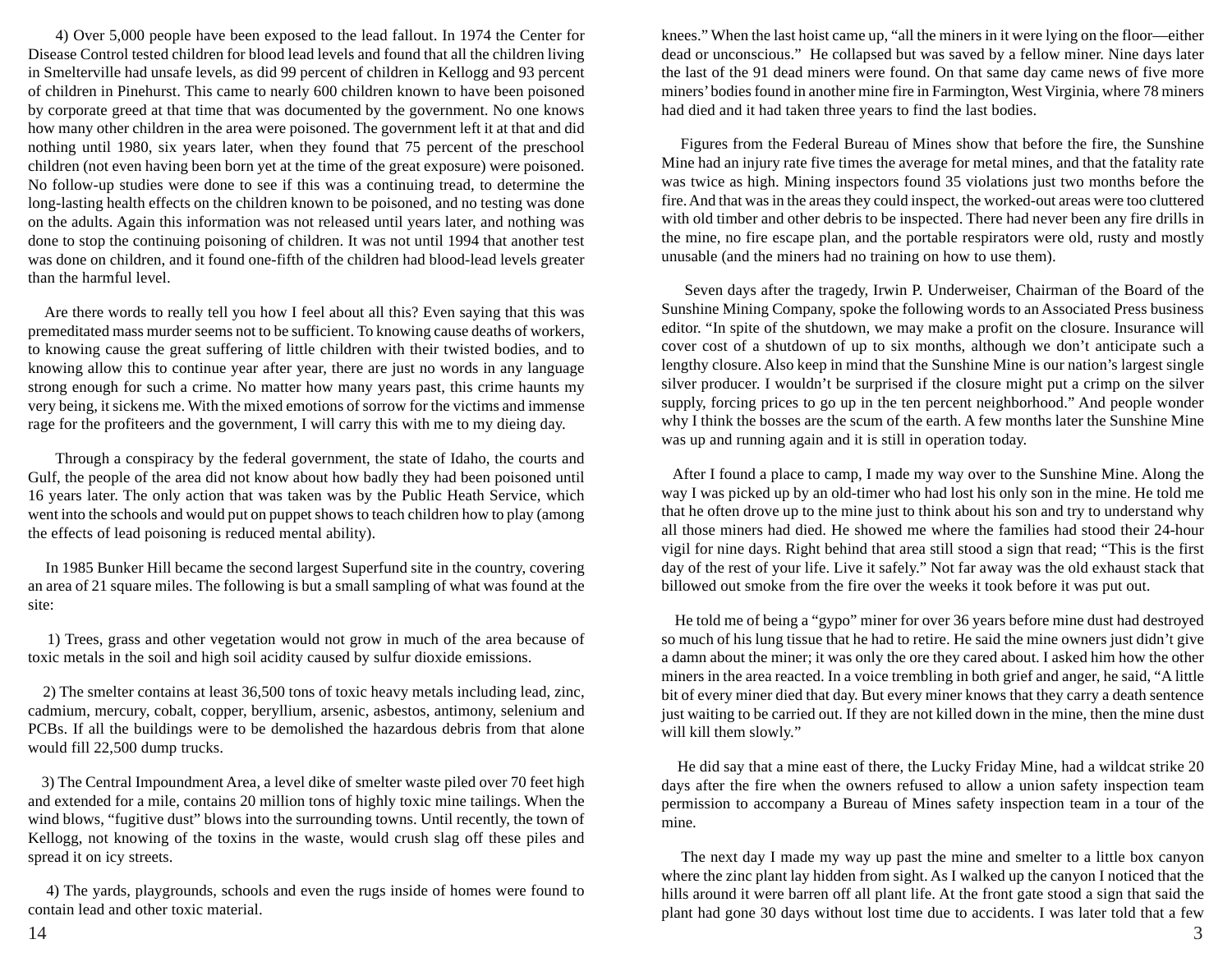4) Over 5,000 people have been exposed to the lead fallout. In 1974 the Center for Disease Control tested children for blood lead levels and found that all the children living in Smelterville had unsafe levels, as did 99 percent of children in Kellogg and 93 percent of children in Pinehurst. This came to nearly 600 children known to have been poisoned by corporate greed at that time that was documented by the government. No one knows how many other children in the area were poisoned. The government left it at that and did nothing until 1980, six years later, when they found that 75 percent of the preschool children (not even having been born yet at the time of the great exposure) were poisoned. No follow-up studies were done to see if this was a continuing tread, to determine the long-lasting health effects on the children known to be poisoned, and no testing was done on the adults. Again this information was not released until years later, and nothing was done to stop the continuing poisoning of children. It was not until 1994 that another test was done on children, and it found one-fifth of the children had blood-lead levels greater than the harmful level.

 Are there words to really tell you how I feel about all this? Even saying that this was premeditated mass murder seems not to be sufficient. To knowing cause deaths of workers, to knowing cause the great suffering of little children with their twisted bodies, and to knowing allow this to continue year after year, there are just no words in any language strong enough for such a crime. No matter how many years past, this crime haunts my very being, it sickens me. With the mixed emotions of sorrow for the victims and immense rage for the profiteers and the government, I will carry this with me to my dieing day.

 Through a conspiracy by the federal government, the state of Idaho, the courts and Gulf, the people of the area did not know about how badly they had been poisoned until 16 years later. The only action that was taken was by the Public Heath Service, which went into the schools and would put on puppet shows to teach children how to play (among the effects of lead poisoning is reduced mental ability).

 In 1985 Bunker Hill became the second largest Superfund site in the country, covering an area of 21 square miles. The following is but a small sampling of what was found at the site:

 1) Trees, grass and other vegetation would not grow in much of the area because of toxic metals in the soil and high soil acidity caused by sulfur dioxide emissions.

 2) The smelter contains at least 36,500 tons of toxic heavy metals including lead, zinc, cadmium, mercury, cobalt, copper, beryllium, arsenic, asbestos, antimony, selenium and PCBs. If all the buildings were to be demolished the hazardous debris from that alone would fill 22,500 dump trucks.

 3) The Central Impoundment Area, a level dike of smelter waste piled over 70 feet high and extended for a mile, contains 20 million tons of highly toxic mine tailings. When the wind blows, "fugitive dust" blows into the surrounding towns. Until recently, the town of Kellogg, not knowing of the toxins in the waste, would crush slag off these piles and spread it on icy streets.

 4) The yards, playgrounds, schools and even the rugs inside of homes were found to contain lead and other toxic material.

knees." When the last hoist came up, "all the miners in it were lying on the floor—either dead or unconscious." He collapsed but was saved by a fellow miner. Nine days later the last of the 91 dead miners were found. On that same day came news of five more miners' bodies found in another mine fire in Farmington, West Virginia, where 78 miners had died and it had taken three years to find the last bodies.

 Figures from the Federal Bureau of Mines show that before the fire, the Sunshine Mine had an injury rate five times the average for metal mines, and that the fatality rate was twice as high. Mining inspectors found 35 violations just two months before the fire. And that was in the areas they could inspect, the worked-out areas were too cluttered with old timber and other debris to be inspected. There had never been any fire drills in the mine, no fire escape plan, and the portable respirators were old, rusty and mostly unusable (and the miners had no training on how to use them).

 Seven days after the tragedy, Irwin P. Underweiser, Chairman of the Board of the Sunshine Mining Company, spoke the following words to an Associated Press business editor. "In spite of the shutdown, we may make a profit on the closure. Insurance will cover cost of a shutdown of up to six months, although we don't anticipate such a lengthy closure. Also keep in mind that the Sunshine Mine is our nation's largest single silver producer. I wouldn't be surprised if the closure might put a crimp on the silver supply, forcing prices to go up in the ten percent neighborhood." And people wonder why I think the bosses are the scum of the earth. A few months later the Sunshine Mine was up and running again and it is still in operation today.

 After I found a place to camp, I made my way over to the Sunshine Mine. Along the way I was picked up by an old-timer who had lost his only son in the mine. He told me that he often drove up to the mine just to think about his son and try to understand why all those miners had died. He showed me where the families had stood their 24-hour vigil for nine days. Right behind that area still stood a sign that read; "This is the first day of the rest of your life. Live it safely." Not far away was the old exhaust stack that billowed out smoke from the fire over the weeks it took before it was put out.

 He told me of being a "gypo" miner for over 36 years before mine dust had destroyed so much of his lung tissue that he had to retire. He said the mine owners just didn't give a damn about the miner; it was only the ore they cared about. I asked him how the other miners in the area reacted. In a voice trembling in both grief and anger, he said, "A little bit of every miner died that day. But every miner knows that they carry a death sentence just waiting to be carried out. If they are not killed down in the mine, then the mine dust will kill them slowly."

 He did say that a mine east of there, the Lucky Friday Mine, had a wildcat strike 20 days after the fire when the owners refused to allow a union safety inspection team permission to accompany a Bureau of Mines safety inspection team in a tour of the mine.

 The next day I made my way up past the mine and smelter to a little box canyon where the zinc plant lay hidden from sight. As I walked up the canyon I noticed that the hills around it were barren off all plant life. At the front gate stood a sign that said the plant had gone 30 days without lost time due to accidents. I was later told that a few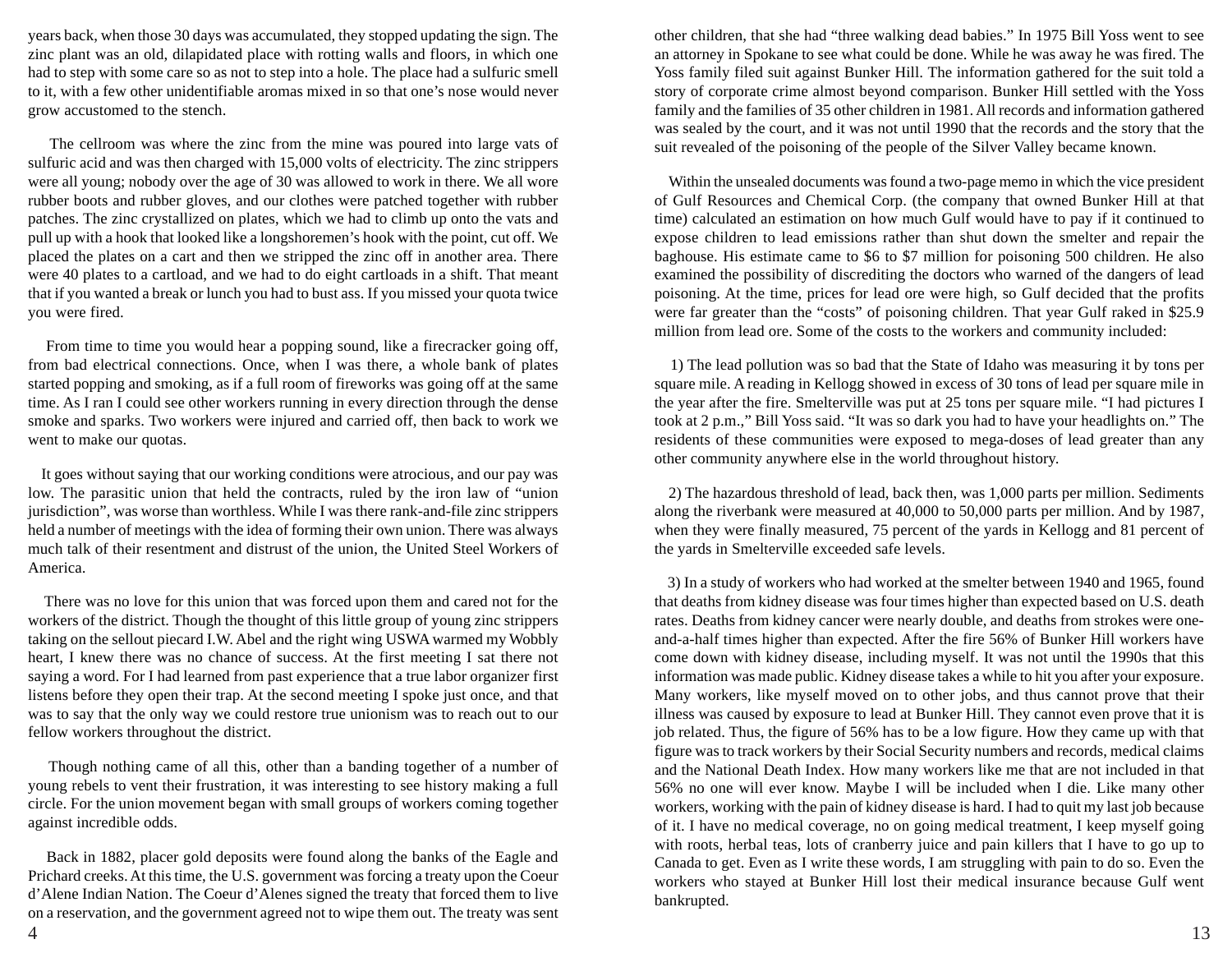years back, when those 30 days was accumulated, they stopped updating the sign. The zinc plant was an old, dilapidated place with rotting walls and floors, in which one had to step with some care so as not to step into a hole. The place had a sulfuric smell to it, with a few other unidentifiable aromas mixed in so that one's nose would never grow accustomed to the stench.

 The cellroom was where the zinc from the mine was poured into large vats of sulfuric acid and was then charged with 15,000 volts of electricity. The zinc strippers were all young; nobody over the age of 30 was allowed to work in there. We all wore rubber boots and rubber gloves, and our clothes were patched together with rubber patches. The zinc crystallized on plates, which we had to climb up onto the vats and pull up with a hook that looked like a longshoremen's hook with the point, cut off. We placed the plates on a cart and then we stripped the zinc off in another area. There were 40 plates to a cartload, and we had to do eight cartloads in a shift. That meant that if you wanted a break or lunch you had to bust ass. If you missed your quota twice you were fired.

 From time to time you would hear a popping sound, like a firecracker going off, from bad electrical connections. Once, when I was there, a whole bank of plates started popping and smoking, as if a full room of fireworks was going off at the same time. As I ran I could see other workers running in every direction through the dense smoke and sparks. Two workers were injured and carried off, then back to work we went to make our quotas.

 It goes without saying that our working conditions were atrocious, and our pay was low. The parasitic union that held the contracts, ruled by the iron law of "union jurisdiction", was worse than worthless. While I was there rank-and-file zinc strippers held a number of meetings with the idea of forming their own union. There was always much talk of their resentment and distrust of the union, the United Steel Workers of America.

 There was no love for this union that was forced upon them and cared not for the workers of the district. Though the thought of this little group of young zinc strippers taking on the sellout piecard I.W. Abel and the right wing USWA warmed my Wobbly heart, I knew there was no chance of success. At the first meeting I sat there not saying a word. For I had learned from past experience that a true labor organizer first listens before they open their trap. At the second meeting I spoke just once, and that was to say that the only way we could restore true unionism was to reach out to our fellow workers throughout the district.

 Though nothing came of all this, other than a banding together of a number of young rebels to vent their frustration, it was interesting to see history making a full circle. For the union movement began with small groups of workers coming together against incredible odds.

 Back in 1882, placer gold deposits were found along the banks of the Eagle and Prichard creeks. At this time, the U.S. government was forcing a treaty upon the Coeur d'Alene Indian Nation. The Coeur d'Alenes signed the treaty that forced them to live on a reservation, and the government agreed not to wipe them out. The treaty was sent  $\frac{4}{13}$ 

other children, that she had "three walking dead babies." In 1975 Bill Yoss went to see an attorney in Spokane to see what could be done. While he was away he was fired. The Yoss family filed suit against Bunker Hill. The information gathered for the suit told a story of corporate crime almost beyond comparison. Bunker Hill settled with the Yoss family and the families of 35 other children in 1981. All records and information gathered was sealed by the court, and it was not until 1990 that the records and the story that the suit revealed of the poisoning of the people of the Silver Valley became known.

 Within the unsealed documents was found a two-page memo in which the vice president of Gulf Resources and Chemical Corp. (the company that owned Bunker Hill at that time) calculated an estimation on how much Gulf would have to pay if it continued to expose children to lead emissions rather than shut down the smelter and repair the baghouse. His estimate came to \$6 to \$7 million for poisoning 500 children. He also examined the possibility of discrediting the doctors who warned of the dangers of lead poisoning. At the time, prices for lead ore were high, so Gulf decided that the profits were far greater than the "costs" of poisoning children. That year Gulf raked in \$25.9 million from lead ore. Some of the costs to the workers and community included:

 1) The lead pollution was so bad that the State of Idaho was measuring it by tons per square mile. A reading in Kellogg showed in excess of 30 tons of lead per square mile in the year after the fire. Smelterville was put at 25 tons per square mile. "I had pictures I took at 2 p.m.," Bill Yoss said. "It was so dark you had to have your headlights on." The residents of these communities were exposed to mega-doses of lead greater than any other community anywhere else in the world throughout history.

 2) The hazardous threshold of lead, back then, was 1,000 parts per million. Sediments along the riverbank were measured at 40,000 to 50,000 parts per million. And by 1987, when they were finally measured, 75 percent of the yards in Kellogg and 81 percent of the yards in Smelterville exceeded safe levels.

 3) In a study of workers who had worked at the smelter between 1940 and 1965, found that deaths from kidney disease was four times higher than expected based on U.S. death rates. Deaths from kidney cancer were nearly double, and deaths from strokes were oneand-a-half times higher than expected. After the fire 56% of Bunker Hill workers have come down with kidney disease, including myself. It was not until the 1990s that this information was made public. Kidney disease takes a while to hit you after your exposure. Many workers, like myself moved on to other jobs, and thus cannot prove that their illness was caused by exposure to lead at Bunker Hill. They cannot even prove that it is job related. Thus, the figure of 56% has to be a low figure. How they came up with that figure was to track workers by their Social Security numbers and records, medical claims and the National Death Index. How many workers like me that are not included in that 56% no one will ever know. Maybe I will be included when I die. Like many other workers, working with the pain of kidney disease is hard. I had to quit my last job because of it. I have no medical coverage, no on going medical treatment, I keep myself going with roots, herbal teas, lots of cranberry juice and pain killers that I have to go up to Canada to get. Even as I write these words, I am struggling with pain to do so. Even the workers who stayed at Bunker Hill lost their medical insurance because Gulf went bankrupted.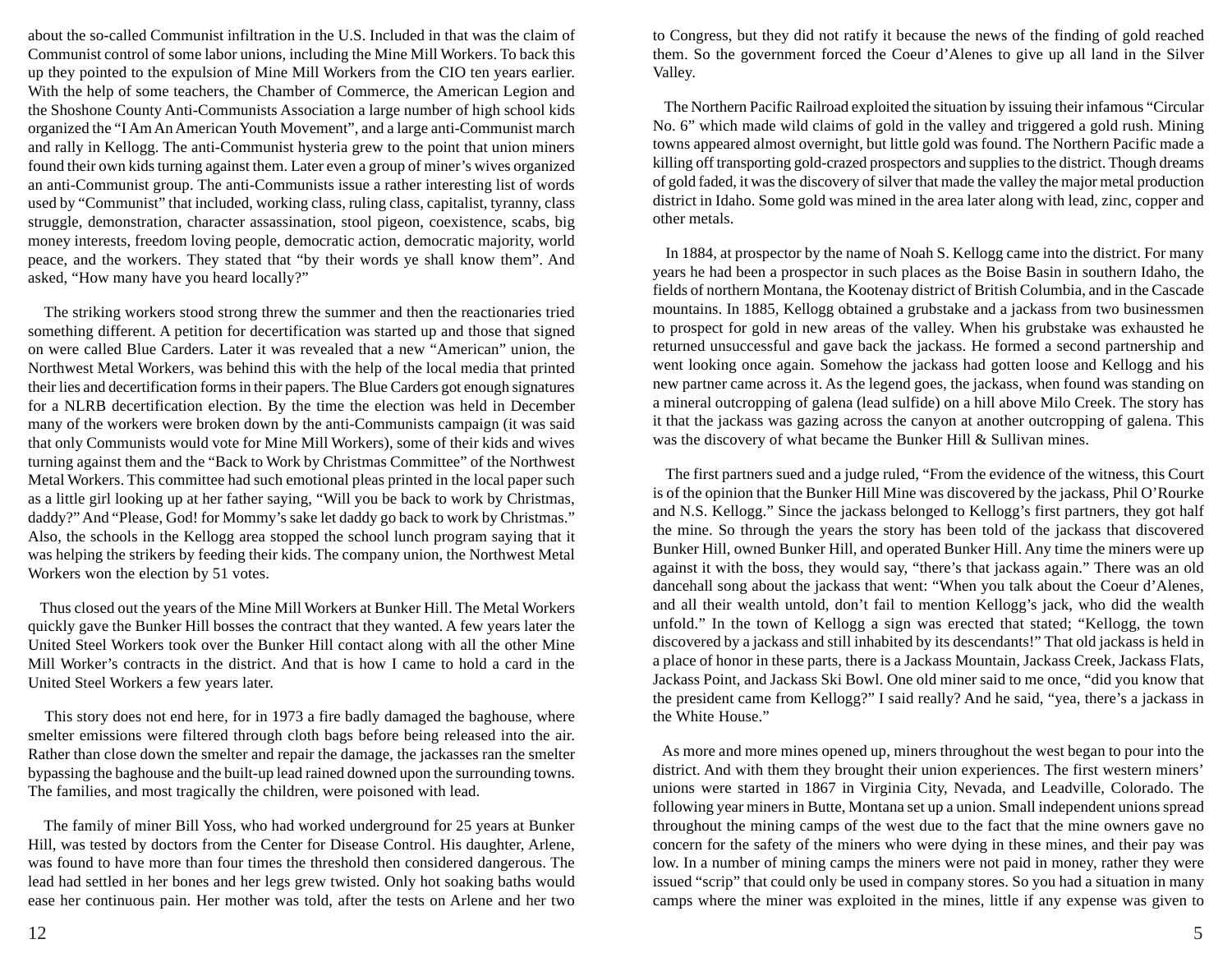about the so-called Communist infiltration in the U.S. Included in that was the claim of Communist control of some labor unions, including the Mine Mill Workers. To back this up they pointed to the expulsion of Mine Mill Workers from the CIO ten years earlier. With the help of some teachers, the Chamber of Commerce, the American Legion and the Shoshone County Anti-Communists Association a large number of high school kids organized the "I Am An American Youth Movement", and a large anti-Communist march and rally in Kellogg. The anti-Communist hysteria grew to the point that union miners found their own kids turning against them. Later even a group of miner's wives organized an anti-Communist group. The anti-Communists issue a rather interesting list of words used by "Communist" that included, working class, ruling class, capitalist, tyranny, class struggle, demonstration, character assassination, stool pigeon, coexistence, scabs, big money interests, freedom loving people, democratic action, democratic majority, world peace, and the workers. They stated that "by their words ye shall know them". And asked, "How many have you heard locally?"

 The striking workers stood strong threw the summer and then the reactionaries tried something different. A petition for decertification was started up and those that signed on were called Blue Carders. Later it was revealed that a new "American" union, the Northwest Metal Workers, was behind this with the help of the local media that printed their lies and decertification forms in their papers. The Blue Carders got enough signatures for a NLRB decertification election. By the time the election was held in December many of the workers were broken down by the anti-Communists campaign (it was said that only Communists would vote for Mine Mill Workers), some of their kids and wives turning against them and the "Back to Work by Christmas Committee" of the Northwest Metal Workers. This committee had such emotional pleas printed in the local paper such as a little girl looking up at her father saying, "Will you be back to work by Christmas, daddy?" And "Please, God! for Mommy's sake let daddy go back to work by Christmas." Also, the schools in the Kellogg area stopped the school lunch program saying that it was helping the strikers by feeding their kids. The company union, the Northwest Metal Workers won the election by 51 votes.

 Thus closed out the years of the Mine Mill Workers at Bunker Hill. The Metal Workers quickly gave the Bunker Hill bosses the contract that they wanted. A few years later the United Steel Workers took over the Bunker Hill contact along with all the other Mine Mill Worker's contracts in the district. And that is how I came to hold a card in the United Steel Workers a few years later.

 This story does not end here, for in 1973 a fire badly damaged the baghouse, where smelter emissions were filtered through cloth bags before being released into the air. Rather than close down the smelter and repair the damage, the jackasses ran the smelter bypassing the baghouse and the built-up lead rained downed upon the surrounding towns. The families, and most tragically the children, were poisoned with lead.

 The family of miner Bill Yoss, who had worked underground for 25 years at Bunker Hill, was tested by doctors from the Center for Disease Control. His daughter, Arlene, was found to have more than four times the threshold then considered dangerous. The lead had settled in her bones and her legs grew twisted. Only hot soaking baths would ease her continuous pain. Her mother was told, after the tests on Arlene and her two

to Congress, but they did not ratify it because the news of the finding of gold reached them. So the government forced the Coeur d'Alenes to give up all land in the Silver Valley.

 The Northern Pacific Railroad exploited the situation by issuing their infamous "Circular No. 6" which made wild claims of gold in the valley and triggered a gold rush. Mining towns appeared almost overnight, but little gold was found. The Northern Pacific made a killing off transporting gold-crazed prospectors and supplies to the district. Though dreams of gold faded, it was the discovery of silver that made the valley the major metal production district in Idaho. Some gold was mined in the area later along with lead, zinc, copper and other metals.

 In 1884, at prospector by the name of Noah S. Kellogg came into the district. For many years he had been a prospector in such places as the Boise Basin in southern Idaho, the fields of northern Montana, the Kootenay district of British Columbia, and in the Cascade mountains. In 1885, Kellogg obtained a grubstake and a jackass from two businessmen to prospect for gold in new areas of the valley. When his grubstake was exhausted he returned unsuccessful and gave back the jackass. He formed a second partnership and went looking once again. Somehow the jackass had gotten loose and Kellogg and his new partner came across it. As the legend goes, the jackass, when found was standing on a mineral outcropping of galena (lead sulfide) on a hill above Milo Creek. The story has it that the jackass was gazing across the canyon at another outcropping of galena. This was the discovery of what became the Bunker Hill & Sullivan mines.

 The first partners sued and a judge ruled, "From the evidence of the witness, this Court is of the opinion that the Bunker Hill Mine was discovered by the jackass, Phil O'Rourke and N.S. Kellogg." Since the jackass belonged to Kellogg's first partners, they got half the mine. So through the years the story has been told of the jackass that discovered Bunker Hill, owned Bunker Hill, and operated Bunker Hill. Any time the miners were up against it with the boss, they would say, "there's that jackass again." There was an old dancehall song about the jackass that went: "When you talk about the Coeur d'Alenes, and all their wealth untold, don't fail to mention Kellogg's jack, who did the wealth unfold." In the town of Kellogg a sign was erected that stated; "Kellogg, the town discovered by a jackass and still inhabited by its descendants!" That old jackass is held in a place of honor in these parts, there is a Jackass Mountain, Jackass Creek, Jackass Flats, Jackass Point, and Jackass Ski Bowl. One old miner said to me once, "did you know that the president came from Kellogg?" I said really? And he said, "yea, there's a jackass in the White House."

 As more and more mines opened up, miners throughout the west began to pour into the district. And with them they brought their union experiences. The first western miners' unions were started in 1867 in Virginia City, Nevada, and Leadville, Colorado. The following year miners in Butte, Montana set up a union. Small independent unions spread throughout the mining camps of the west due to the fact that the mine owners gave no concern for the safety of the miners who were dying in these mines, and their pay was low. In a number of mining camps the miners were not paid in money, rather they were issued "scrip" that could only be used in company stores. So you had a situation in many camps where the miner was exploited in the mines, little if any expense was given to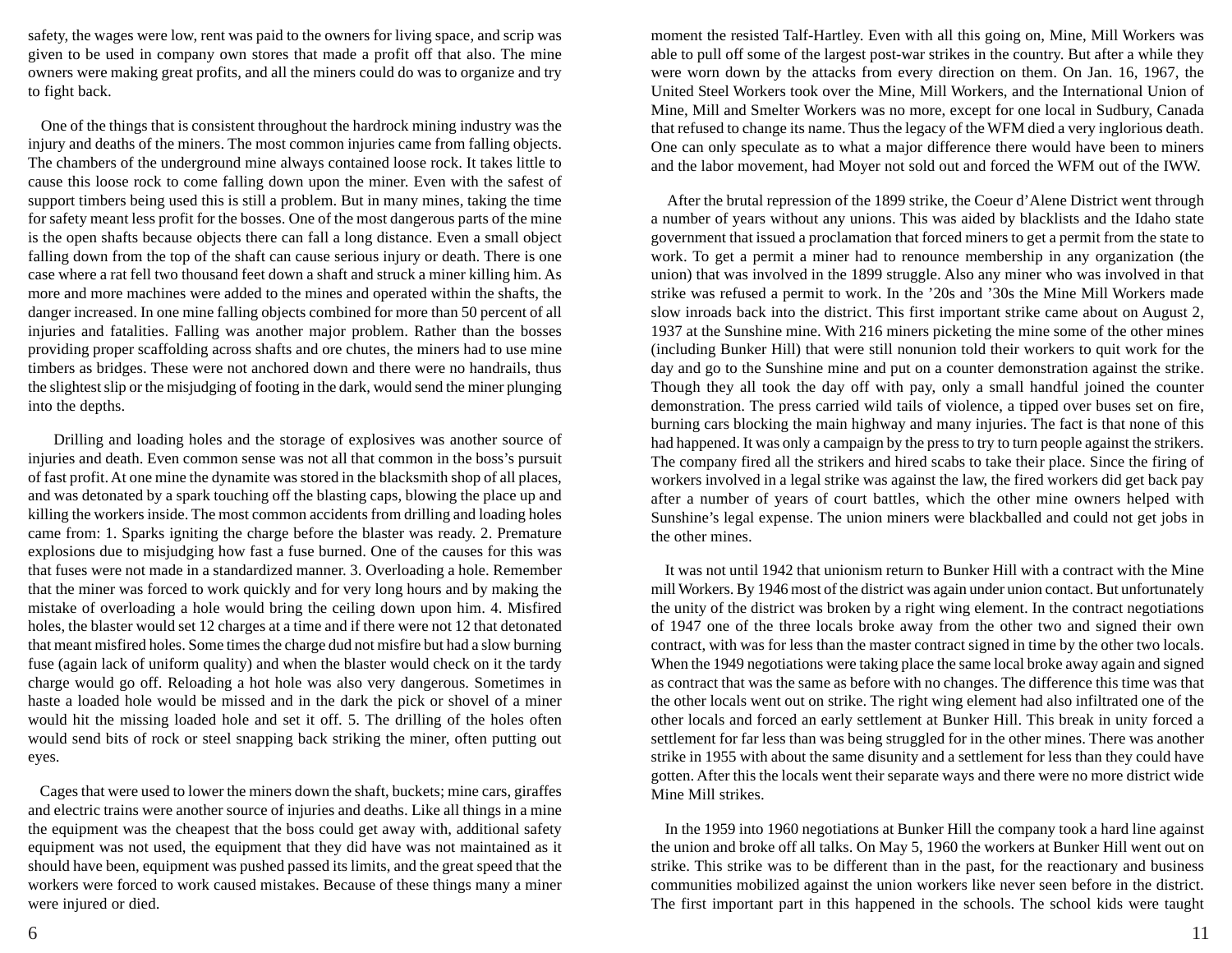safety, the wages were low, rent was paid to the owners for living space, and scrip was given to be used in company own stores that made a profit off that also. The mine owners were making great profits, and all the miners could do was to organize and try to fight back.

 One of the things that is consistent throughout the hardrock mining industry was the injury and deaths of the miners. The most common injuries came from falling objects. The chambers of the underground mine always contained loose rock. It takes little to cause this loose rock to come falling down upon the miner. Even with the safest of support timbers being used this is still a problem. But in many mines, taking the time for safety meant less profit for the bosses. One of the most dangerous parts of the mine is the open shafts because objects there can fall a long distance. Even a small object falling down from the top of the shaft can cause serious injury or death. There is one case where a rat fell two thousand feet down a shaft and struck a miner killing him. As more and more machines were added to the mines and operated within the shafts, the danger increased. In one mine falling objects combined for more than 50 percent of all injuries and fatalities. Falling was another major problem. Rather than the bosses providing proper scaffolding across shafts and ore chutes, the miners had to use mine timbers as bridges. These were not anchored down and there were no handrails, thus the slightest slip or the misjudging of footing in the dark, would send the miner plunging into the depths.

 Drilling and loading holes and the storage of explosives was another source of injuries and death. Even common sense was not all that common in the boss's pursuit of fast profit. At one mine the dynamite was stored in the blacksmith shop of all places, and was detonated by a spark touching off the blasting caps, blowing the place up and killing the workers inside. The most common accidents from drilling and loading holes came from: 1. Sparks igniting the charge before the blaster was ready. 2. Premature explosions due to misjudging how fast a fuse burned. One of the causes for this was that fuses were not made in a standardized manner. 3. Overloading a hole. Remember that the miner was forced to work quickly and for very long hours and by making the mistake of overloading a hole would bring the ceiling down upon him. 4. Misfired holes, the blaster would set 12 charges at a time and if there were not 12 that detonated that meant misfired holes. Some times the charge dud not misfire but had a slow burning fuse (again lack of uniform quality) and when the blaster would check on it the tardy charge would go off. Reloading a hot hole was also very dangerous. Sometimes in haste a loaded hole would be missed and in the dark the pick or shovel of a miner would hit the missing loaded hole and set it off. 5. The drilling of the holes often would send bits of rock or steel snapping back striking the miner, often putting out eyes.

 Cages that were used to lower the miners down the shaft, buckets; mine cars, giraffes and electric trains were another source of injuries and deaths. Like all things in a mine the equipment was the cheapest that the boss could get away with, additional safety equipment was not used, the equipment that they did have was not maintained as it should have been, equipment was pushed passed its limits, and the great speed that the workers were forced to work caused mistakes. Because of these things many a miner were injured or died.

moment the resisted Talf-Hartley. Even with all this going on, Mine, Mill Workers was able to pull off some of the largest post-war strikes in the country. But after a while they were worn down by the attacks from every direction on them. On Jan. 16, 1967, the United Steel Workers took over the Mine, Mill Workers, and the International Union of Mine, Mill and Smelter Workers was no more, except for one local in Sudbury, Canada that refused to change its name. Thus the legacy of the WFM died a very inglorious death. One can only speculate as to what a major difference there would have been to miners and the labor movement, had Moyer not sold out and forced the WFM out of the IWW.

 After the brutal repression of the 1899 strike, the Coeur d'Alene District went through a number of years without any unions. This was aided by blacklists and the Idaho state government that issued a proclamation that forced miners to get a permit from the state to work. To get a permit a miner had to renounce membership in any organization (the union) that was involved in the 1899 struggle. Also any miner who was involved in that strike was refused a permit to work. In the '20s and '30s the Mine Mill Workers made slow inroads back into the district. This first important strike came about on August 2, 1937 at the Sunshine mine. With 216 miners picketing the mine some of the other mines (including Bunker Hill) that were still nonunion told their workers to quit work for the day and go to the Sunshine mine and put on a counter demonstration against the strike. Though they all took the day off with pay, only a small handful joined the counter demonstration. The press carried wild tails of violence, a tipped over buses set on fire, burning cars blocking the main highway and many injuries. The fact is that none of this had happened. It was only a campaign by the press to try to turn people against the strikers. The company fired all the strikers and hired scabs to take their place. Since the firing of workers involved in a legal strike was against the law, the fired workers did get back pay after a number of years of court battles, which the other mine owners helped with Sunshine's legal expense. The union miners were blackballed and could not get jobs in the other mines.

 It was not until 1942 that unionism return to Bunker Hill with a contract with the Mine mill Workers. By 1946 most of the district was again under union contact. But unfortunately the unity of the district was broken by a right wing element. In the contract negotiations of 1947 one of the three locals broke away from the other two and signed their own contract, with was for less than the master contract signed in time by the other two locals. When the 1949 negotiations were taking place the same local broke away again and signed as contract that was the same as before with no changes. The difference this time was that the other locals went out on strike. The right wing element had also infiltrated one of the other locals and forced an early settlement at Bunker Hill. This break in unity forced a settlement for far less than was being struggled for in the other mines. There was another strike in 1955 with about the same disunity and a settlement for less than they could have gotten. After this the locals went their separate ways and there were no more district wide Mine Mill strikes.

 In the 1959 into 1960 negotiations at Bunker Hill the company took a hard line against the union and broke off all talks. On May 5, 1960 the workers at Bunker Hill went out on strike. This strike was to be different than in the past, for the reactionary and business communities mobilized against the union workers like never seen before in the district. The first important part in this happened in the schools. The school kids were taught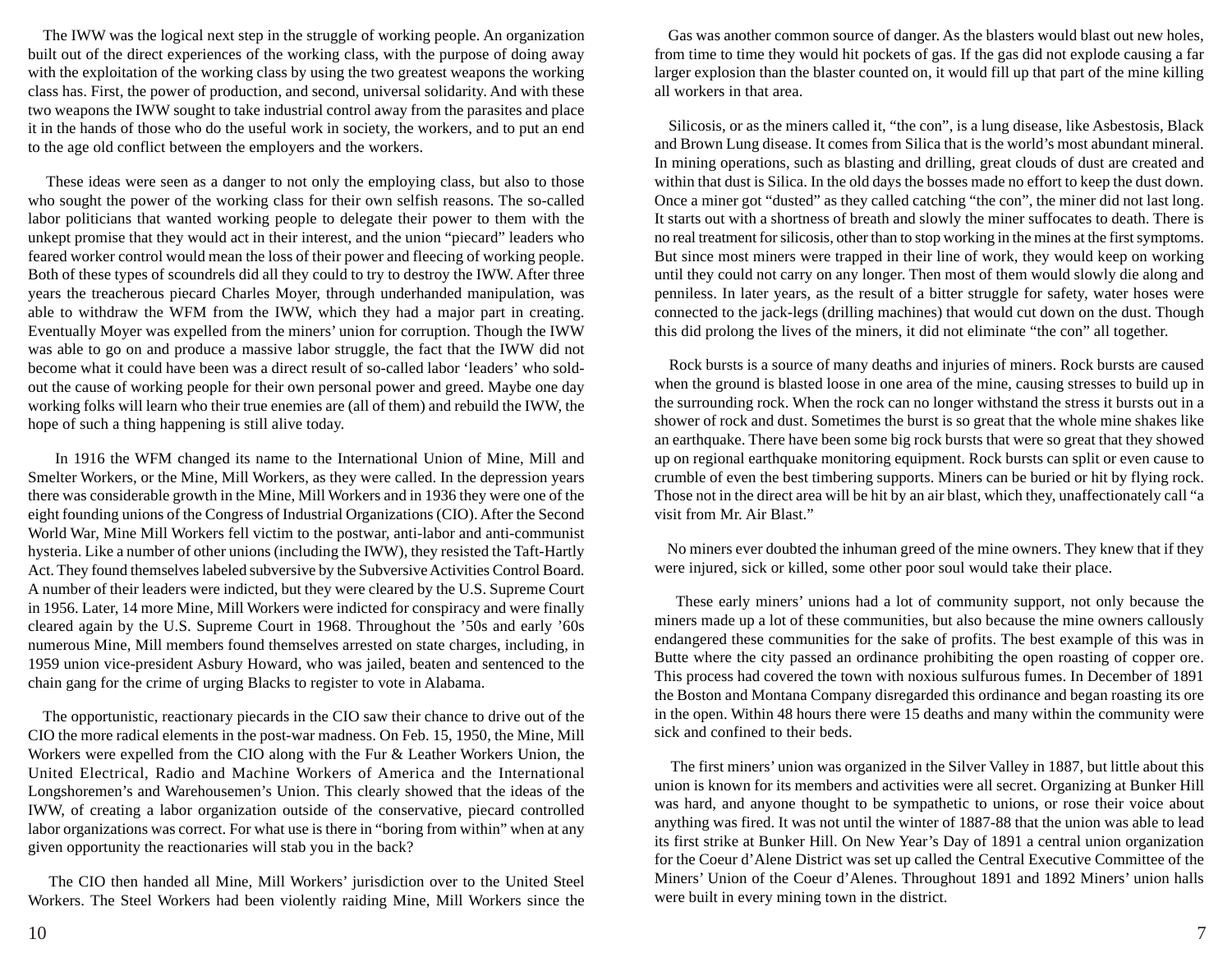The IWW was the logical next step in the struggle of working people. An organization built out of the direct experiences of the working class, with the purpose of doing away with the exploitation of the working class by using the two greatest weapons the working class has. First, the power of production, and second, universal solidarity. And with these two weapons the IWW sought to take industrial control away from the parasites and place it in the hands of those who do the useful work in society, the workers, and to put an end to the age old conflict between the employers and the workers.

 These ideas were seen as a danger to not only the employing class, but also to those who sought the power of the working class for their own selfish reasons. The so-called labor politicians that wanted working people to delegate their power to them with the unkept promise that they would act in their interest, and the union "piecard" leaders who feared worker control would mean the loss of their power and fleecing of working people. Both of these types of scoundrels did all they could to try to destroy the IWW. After three years the treacherous piecard Charles Moyer, through underhanded manipulation, was able to withdraw the WFM from the IWW, which they had a major part in creating. Eventually Moyer was expelled from the miners' union for corruption. Though the IWW was able to go on and produce a massive labor struggle, the fact that the IWW did not become what it could have been was a direct result of so-called labor 'leaders' who soldout the cause of working people for their own personal power and greed. Maybe one day working folks will learn who their true enemies are (all of them) and rebuild the IWW, the hope of such a thing happening is still alive today.

 In 1916 the WFM changed its name to the International Union of Mine, Mill and Smelter Workers, or the Mine, Mill Workers, as they were called. In the depression years there was considerable growth in the Mine, Mill Workers and in 1936 they were one of the eight founding unions of the Congress of Industrial Organizations (CIO). After the Second World War, Mine Mill Workers fell victim to the postwar, anti-labor and anti-communist hysteria. Like a number of other unions (including the IWW), they resisted the Taft-Hartly Act. They found themselves labeled subversive by the Subversive Activities Control Board. A number of their leaders were indicted, but they were cleared by the U.S. Supreme Court in 1956. Later, 14 more Mine, Mill Workers were indicted for conspiracy and were finally cleared again by the U.S. Supreme Court in 1968. Throughout the '50s and early '60s numerous Mine, Mill members found themselves arrested on state charges, including, in 1959 union vice-president Asbury Howard, who was jailed, beaten and sentenced to the chain gang for the crime of urging Blacks to register to vote in Alabama.

 The opportunistic, reactionary piecards in the CIO saw their chance to drive out of the CIO the more radical elements in the post-war madness. On Feb. 15, 1950, the Mine, Mill Workers were expelled from the CIO along with the Fur & Leather Workers Union, the United Electrical, Radio and Machine Workers of America and the International Longshoremen's and Warehousemen's Union. This clearly showed that the ideas of the IWW, of creating a labor organization outside of the conservative, piecard controlled labor organizations was correct. For what use is there in "boring from within" when at any given opportunity the reactionaries will stab you in the back?

 The CIO then handed all Mine, Mill Workers' jurisdiction over to the United Steel Workers. The Steel Workers had been violently raiding Mine, Mill Workers since the

 Gas was another common source of danger. As the blasters would blast out new holes, from time to time they would hit pockets of gas. If the gas did not explode causing a far larger explosion than the blaster counted on, it would fill up that part of the mine killing all workers in that area.

 Silicosis, or as the miners called it, "the con", is a lung disease, like Asbestosis, Black and Brown Lung disease. It comes from Silica that is the world's most abundant mineral. In mining operations, such as blasting and drilling, great clouds of dust are created and within that dust is Silica. In the old days the bosses made no effort to keep the dust down. Once a miner got "dusted" as they called catching "the con", the miner did not last long. It starts out with a shortness of breath and slowly the miner suffocates to death. There is no real treatment for silicosis, other than to stop working in the mines at the first symptoms. But since most miners were trapped in their line of work, they would keep on working until they could not carry on any longer. Then most of them would slowly die along and penniless. In later years, as the result of a bitter struggle for safety, water hoses were connected to the jack-legs (drilling machines) that would cut down on the dust. Though this did prolong the lives of the miners, it did not eliminate "the con" all together.

 Rock bursts is a source of many deaths and injuries of miners. Rock bursts are caused when the ground is blasted loose in one area of the mine, causing stresses to build up in the surrounding rock. When the rock can no longer withstand the stress it bursts out in a shower of rock and dust. Sometimes the burst is so great that the whole mine shakes like an earthquake. There have been some big rock bursts that were so great that they showed up on regional earthquake monitoring equipment. Rock bursts can split or even cause to crumble of even the best timbering supports. Miners can be buried or hit by flying rock. Those not in the direct area will be hit by an air blast, which they, unaffectionately call "a visit from Mr. Air Blast."

 No miners ever doubted the inhuman greed of the mine owners. They knew that if they were injured, sick or killed, some other poor soul would take their place.

 These early miners' unions had a lot of community support, not only because the miners made up a lot of these communities, but also because the mine owners callously endangered these communities for the sake of profits. The best example of this was in Butte where the city passed an ordinance prohibiting the open roasting of copper ore. This process had covered the town with noxious sulfurous fumes. In December of 1891 the Boston and Montana Company disregarded this ordinance and began roasting its ore in the open. Within 48 hours there were 15 deaths and many within the community were sick and confined to their beds.

 The first miners' union was organized in the Silver Valley in 1887, but little about this union is known for its members and activities were all secret. Organizing at Bunker Hill was hard, and anyone thought to be sympathetic to unions, or rose their voice about anything was fired. It was not until the winter of 1887-88 that the union was able to lead its first strike at Bunker Hill. On New Year's Day of 1891 a central union organization for the Coeur d'Alene District was set up called the Central Executive Committee of the Miners' Union of the Coeur d'Alenes. Throughout 1891 and 1892 Miners' union halls were built in every mining town in the district.